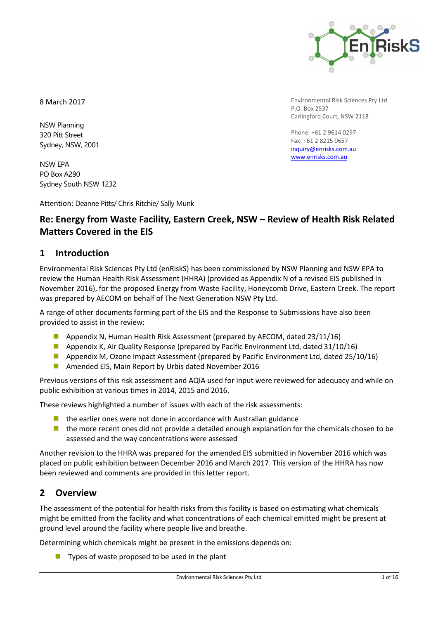

Environmental Risk Sciences Pty Ltd

Carlingford Court, NSW 2118

Phone: +61 2 9614 0297 Fax: +61 2 8215 0657 [inquiry@enrisks.com.au](mailto:inquiry@enrisks.com.au) [www.enrisks.com.au](http://www.enrisks.com.au/)

P.O. Box 2537

8 March 2017

NSW Planning 320 Pitt Street Sydney, NSW, 2001

NSW EPA PO Box A290 Sydney South NSW 1232

Attention: Deanne Pitts/ Chris Ritchie/ Sally Munk

# **Re: Energy from Waste Facility, Eastern Creek, NSW – Review of Health Risk Related Matters Covered in the EIS**

## **1 Introduction**

Environmental Risk Sciences Pty Ltd (enRiskS) has been commissioned by NSW Planning and NSW EPA to review the Human Health Risk Assessment (HHRA) (provided as Appendix N of a revised EIS published in November 2016), for the proposed Energy from Waste Facility, Honeycomb Drive, Eastern Creek. The report was prepared by AECOM on behalf of The Next Generation NSW Pty Ltd.

A range of other documents forming part of the EIS and the Response to Submissions have also been provided to assist in the review:

- **Appendix N, Human Health Risk Assessment (prepared by AECOM, dated 23/11/16)**
- **Appendix K, Air Quality Response (prepared by Pacific Environment Ltd, dated 31/10/16)**
- **Appendix M, Ozone Impact Assessment (prepared by Pacific Environment Ltd, dated 25/10/16)**
- **Amended EIS, Main Report by Urbis dated November 2016**

Previous versions of this risk assessment and AQIA used for input were reviewed for adequacy and while on public exhibition at various times in 2014, 2015 and 2016.

These reviews highlighted a number of issues with each of the risk assessments:

- $\blacksquare$  the earlier ones were not done in accordance with Australian guidance
- **ID** the more recent ones did not provide a detailed enough explanation for the chemicals chosen to be assessed and the way concentrations were assessed

Another revision to the HHRA was prepared for the amended EIS submitted in November 2016 which was placed on public exhibition between December 2016 and March 2017. This version of the HHRA has now been reviewed and comments are provided in this letter report.

## **2 Overview**

The assessment of the potential for health risks from this facility is based on estimating what chemicals might be emitted from the facility and what concentrations of each chemical emitted might be present at ground level around the facility where people live and breathe.

Determining which chemicals might be present in the emissions depends on:

 $\blacksquare$  Types of waste proposed to be used in the plant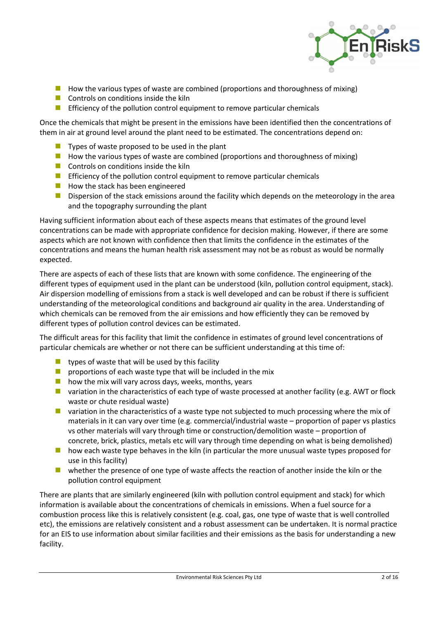

- $\blacksquare$  How the various types of waste are combined (proportions and thoroughness of mixing)
- $\Box$  Controls on conditions inside the kiln
- **Efficiency of the pollution control equipment to remove particular chemicals**

Once the chemicals that might be present in the emissions have been identified then the concentrations of them in air at ground level around the plant need to be estimated. The concentrations depend on:

- $\blacksquare$  Types of waste proposed to be used in the plant
- $\blacksquare$  How the various types of waste are combined (proportions and thoroughness of mixing)
- $\Box$  Controls on conditions inside the kiln
- **Efficiency of the pollution control equipment to remove particular chemicals**
- $\blacksquare$  How the stack has been engineered
- **Dispersion of the stack emissions around the facility which depends on the meteorology in the area** and the topography surrounding the plant

Having sufficient information about each of these aspects means that estimates of the ground level concentrations can be made with appropriate confidence for decision making. However, if there are some aspects which are not known with confidence then that limits the confidence in the estimates of the concentrations and means the human health risk assessment may not be as robust as would be normally expected.

There are aspects of each of these lists that are known with some confidence. The engineering of the different types of equipment used in the plant can be understood (kiln, pollution control equipment, stack). Air dispersion modelling of emissions from a stack is well developed and can be robust if there is sufficient understanding of the meteorological conditions and background air quality in the area. Understanding of which chemicals can be removed from the air emissions and how efficiently they can be removed by different types of pollution control devices can be estimated.

The difficult areas for this facility that limit the confidence in estimates of ground level concentrations of particular chemicals are whether or not there can be sufficient understanding at this time of:

- **types of waste that will be used by this facility**
- **P** proportions of each waste type that will be included in the mix
- $\blacksquare$  how the mix will vary across days, weeks, months, years
- **u** variation in the characteristics of each type of waste processed at another facility (e.g. AWT or flock waste or chute residual waste)
- **u** variation in the characteristics of a waste type not subjected to much processing where the mix of materials in it can vary over time (e.g. commercial/industrial waste – proportion of paper vs plastics vs other materials will vary through time or construction/demolition waste – proportion of concrete, brick, plastics, metals etc will vary through time depending on what is being demolished)
- **h** how each waste type behaves in the kiln (in particular the more unusual waste types proposed for use in this facility)
- $\blacksquare$  whether the presence of one type of waste affects the reaction of another inside the kiln or the pollution control equipment

There are plants that are similarly engineered (kiln with pollution control equipment and stack) for which information is available about the concentrations of chemicals in emissions. When a fuel source for a combustion process like this is relatively consistent (e.g. coal, gas, one type of waste that is well controlled etc), the emissions are relatively consistent and a robust assessment can be undertaken. It is normal practice for an EIS to use information about similar facilities and their emissions as the basis for understanding a new facility.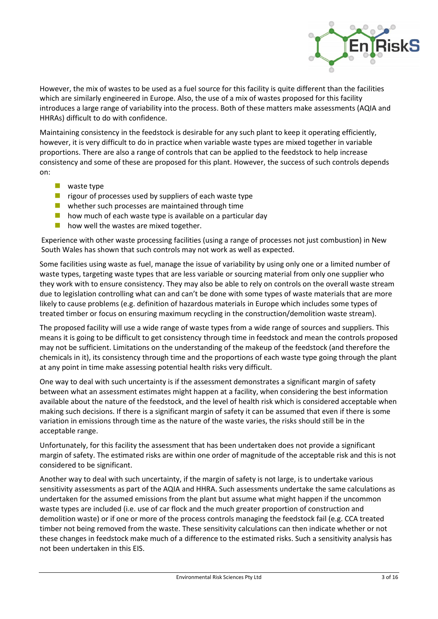

However, the mix of wastes to be used as a fuel source for this facility is quite different than the facilities which are similarly engineered in Europe. Also, the use of a mix of wastes proposed for this facility introduces a large range of variability into the process. Both of these matters make assessments (AQIA and HHRAs) difficult to do with confidence.

Maintaining consistency in the feedstock is desirable for any such plant to keep it operating efficiently, however, it is very difficult to do in practice when variable waste types are mixed together in variable proportions. There are also a range of controls that can be applied to the feedstock to help increase consistency and some of these are proposed for this plant. However, the success of such controls depends on:

- $\blacksquare$  waste type
- $\blacksquare$  rigour of processes used by suppliers of each waste type
- **N** whether such processes are maintained through time
- $\blacksquare$  how much of each waste type is available on a particular day
- $\blacksquare$  how well the wastes are mixed together.

Experience with other waste processing facilities (using a range of processes not just combustion) in New South Wales has shown that such controls may not work as well as expected.

Some facilities using waste as fuel, manage the issue of variability by using only one or a limited number of waste types, targeting waste types that are less variable or sourcing material from only one supplier who they work with to ensure consistency. They may also be able to rely on controls on the overall waste stream due to legislation controlling what can and can't be done with some types of waste materials that are more likely to cause problems (e.g. definition of hazardous materials in Europe which includes some types of treated timber or focus on ensuring maximum recycling in the construction/demolition waste stream).

The proposed facility will use a wide range of waste types from a wide range of sources and suppliers. This means it is going to be difficult to get consistency through time in feedstock and mean the controls proposed may not be sufficient. Limitations on the understanding of the makeup of the feedstock (and therefore the chemicals in it), its consistency through time and the proportions of each waste type going through the plant at any point in time make assessing potential health risks very difficult.

One way to deal with such uncertainty is if the assessment demonstrates a significant margin of safety between what an assessment estimates might happen at a facility, when considering the best information available about the nature of the feedstock, and the level of health risk which is considered acceptable when making such decisions. If there is a significant margin of safety it can be assumed that even if there is some variation in emissions through time as the nature of the waste varies, the risks should still be in the acceptable range.

Unfortunately, for this facility the assessment that has been undertaken does not provide a significant margin of safety. The estimated risks are within one order of magnitude of the acceptable risk and this is not considered to be significant.

Another way to deal with such uncertainty, if the margin of safety is not large, is to undertake various sensitivity assessments as part of the AQIA and HHRA. Such assessments undertake the same calculations as undertaken for the assumed emissions from the plant but assume what might happen if the uncommon waste types are included (i.e. use of car flock and the much greater proportion of construction and demolition waste) or if one or more of the process controls managing the feedstock fail (e.g. CCA treated timber not being removed from the waste. These sensitivity calculations can then indicate whether or not these changes in feedstock make much of a difference to the estimated risks. Such a sensitivity analysis has not been undertaken in this EIS.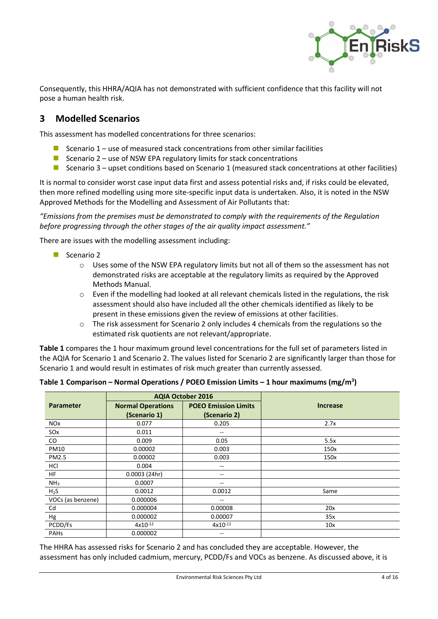

Consequently, this HHRA/AQIA has not demonstrated with sufficient confidence that this facility will not pose a human health risk.

## **3 Modelled Scenarios**

This assessment has modelled concentrations for three scenarios:

- Scenario  $1$  use of measured stack concentrations from other similar facilities
- Scenario 2 use of NSW EPA regulatory limits for stack concentrations
- Scenario 3 upset conditions based on Scenario 1 (measured stack concentrations at other facilities)

It is normal to consider worst case input data first and assess potential risks and, if risks could be elevated, then more refined modelling using more site-specific input data is undertaken. Also, it is noted in the NSW Approved Methods for the Modelling and Assessment of Air Pollutants that:

*"Emissions from the premises must be demonstrated to comply with the requirements of the Regulation before progressing through the other stages of the air quality impact assessment."*

There are issues with the modelling assessment including:

- Scenario 2
	- o Uses some of the NSW EPA regulatory limits but not all of them so the assessment has not demonstrated risks are acceptable at the regulatory limits as required by the Approved Methods Manual.
	- $\circ$  Even if the modelling had looked at all relevant chemicals listed in the regulations, the risk assessment should also have included all the other chemicals identified as likely to be present in these emissions given the review of emissions at other facilities.
	- o The risk assessment for Scenario 2 only includes 4 chemicals from the regulations so the estimated risk quotients are not relevant/appropriate.

**Table 1** compares the 1 hour maximum ground level concentrations for the full set of parameters listed in the AQIA for Scenario 1 and Scenario 2. The values listed for Scenario 2 are significantly larger than those for Scenario 1 and would result in estimates of risk much greater than currently assessed.

|                       | <b>AQIA October 2016</b> |                             |                 |  |
|-----------------------|--------------------------|-----------------------------|-----------------|--|
| <b>Parameter</b>      | <b>Normal Operations</b> | <b>POEO Emission Limits</b> | <b>Increase</b> |  |
|                       | (Scenario 1)             | (Scenario 2)                |                 |  |
| <b>NO<sub>x</sub></b> | 0.077                    | 0.205                       | 2.7x            |  |
| SO <sub>x</sub>       | 0.011                    | $- -$                       |                 |  |
| CO                    | 0.009                    | 0.05                        | 5.5x            |  |
| PM10                  | 0.00002                  | 0.003                       | 150x            |  |
| <b>PM2.5</b>          | 0.00002                  | 0.003                       | 150x            |  |
| HCI                   | 0.004                    | --                          |                 |  |
| <b>HF</b>             | 0.0003(24hr)             | --                          |                 |  |
| NH <sub>3</sub>       | 0.0007                   | $- -$                       |                 |  |
| $H_2S$                | 0.0012                   | 0.0012                      | Same            |  |
| VOCs (as benzene)     | 0.000006                 | $- -$                       |                 |  |
| Cd                    | 0.000004                 | 0.00008                     | 20x             |  |
| Hg                    | 0.000002                 | 0.00007                     | 35x             |  |
| PCDD/Fs               | $4x10^{-12}$             | $4x10^{-11}$                | 10x             |  |
| <b>PAHs</b>           | 0.000002                 | $- -$                       |                 |  |

**Table 1 Comparison – Normal Operations / POEO Emission Limits – 1 hour maximums (mg/m<sup>3</sup> )**

The HHRA has assessed risks for Scenario 2 and has concluded they are acceptable. However, the assessment has only included cadmium, mercury, PCDD/Fs and VOCs as benzene. As discussed above, it is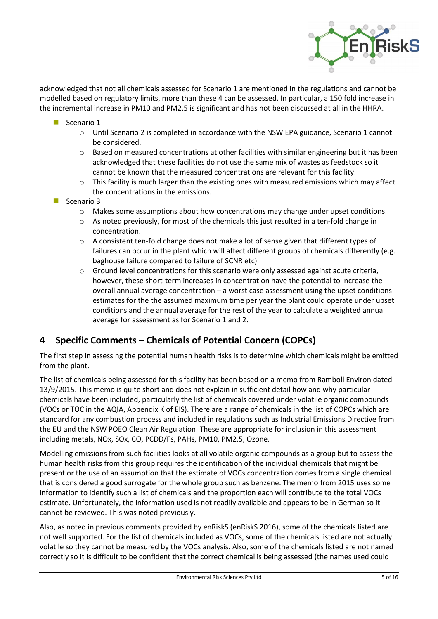

acknowledged that not all chemicals assessed for Scenario 1 are mentioned in the regulations and cannot be modelled based on regulatory limits, more than these 4 can be assessed. In particular, a 150 fold increase in the incremental increase in PM10 and PM2.5 is significant and has not been discussed at all in the HHRA.

- Scenario 1
	- o Until Scenario 2 is completed in accordance with the NSW EPA guidance, Scenario 1 cannot be considered.
	- $\circ$  Based on measured concentrations at other facilities with similar engineering but it has been acknowledged that these facilities do not use the same mix of wastes as feedstock so it cannot be known that the measured concentrations are relevant for this facility.
	- o This facility is much larger than the existing ones with measured emissions which may affect the concentrations in the emissions.
- Scenario 3
	- o Makes some assumptions about how concentrations may change under upset conditions.
	- $\circ$  As noted previously, for most of the chemicals this just resulted in a ten-fold change in concentration.
	- $\circ$  A consistent ten-fold change does not make a lot of sense given that different types of failures can occur in the plant which will affect different groups of chemicals differently (e.g. baghouse failure compared to failure of SCNR etc)
	- o Ground level concentrations for this scenario were only assessed against acute criteria, however, these short-term increases in concentration have the potential to increase the overall annual average concentration – a worst case assessment using the upset conditions estimates for the the assumed maximum time per year the plant could operate under upset conditions and the annual average for the rest of the year to calculate a weighted annual average for assessment as for Scenario 1 and 2.

## **4 Specific Comments – Chemicals of Potential Concern (COPCs)**

The first step in assessing the potential human health risks is to determine which chemicals might be emitted from the plant.

The list of chemicals being assessed for this facility has been based on a memo from Ramboll Environ dated 13/9/2015. This memo is quite short and does not explain in sufficient detail how and why particular chemicals have been included, particularly the list of chemicals covered under volatile organic compounds (VOCs or TOC in the AQIA, Appendix K of EIS). There are a range of chemicals in the list of COPCs which are standard for any combustion process and included in regulations such as Industrial Emissions Directive from the EU and the NSW POEO Clean Air Regulation. These are appropriate for inclusion in this assessment including metals, NOx, SOx, CO, PCDD/Fs, PAHs, PM10, PM2.5, Ozone.

Modelling emissions from such facilities looks at all volatile organic compounds as a group but to assess the human health risks from this group requires the identification of the individual chemicals that might be present or the use of an assumption that the estimate of VOCs concentration comes from a single chemical that is considered a good surrogate for the whole group such as benzene. The memo from 2015 uses some information to identify such a list of chemicals and the proportion each will contribute to the total VOCs estimate. Unfortunately, the information used is not readily available and appears to be in German so it cannot be reviewed. This was noted previously.

Also, as noted in previous comments provided by enRiskS (enRiskS 2016), some of the chemicals listed are not well supported. For the list of chemicals included as VOCs, some of the chemicals listed are not actually volatile so they cannot be measured by the VOCs analysis. Also, some of the chemicals listed are not named correctly so it is difficult to be confident that the correct chemical is being assessed (the names used could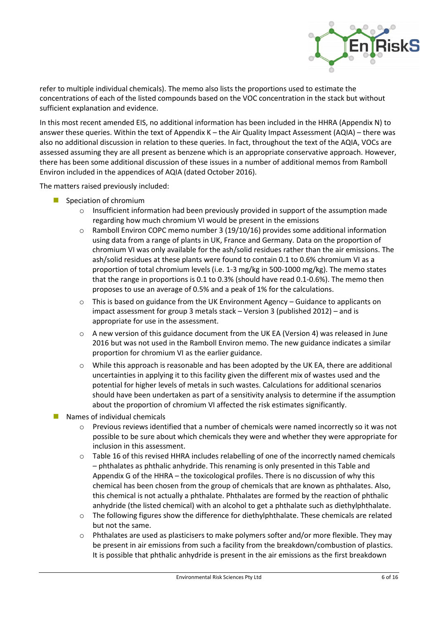

refer to multiple individual chemicals). The memo also lists the proportions used to estimate the concentrations of each of the listed compounds based on the VOC concentration in the stack but without sufficient explanation and evidence.

In this most recent amended EIS, no additional information has been included in the HHRA (Appendix N) to answer these queries. Within the text of Appendix K – the Air Quality Impact Assessment (AQIA) – there was also no additional discussion in relation to these queries. In fact, throughout the text of the AQIA, VOCs are assessed assuming they are all present as benzene which is an appropriate conservative approach. However, there has been some additional discussion of these issues in a number of additional memos from Ramboll Environ included in the appendices of AQIA (dated October 2016).

The matters raised previously included:

- Speciation of chromium
	- o Insufficient information had been previously provided in support of the assumption made regarding how much chromium VI would be present in the emissions
	- $\circ$  Ramboll Environ COPC memo number 3 (19/10/16) provides some additional information using data from a range of plants in UK, France and Germany. Data on the proportion of chromium VI was only available for the ash/solid residues rather than the air emissions. The ash/solid residues at these plants were found to contain 0.1 to 0.6% chromium VI as a proportion of total chromium levels (i.e. 1-3 mg/kg in 500-1000 mg/kg). The memo states that the range in proportions is 0.1 to 0.3% (should have read 0.1-0.6%). The memo then proposes to use an average of 0.5% and a peak of 1% for the calculations.
	- $\circ$  This is based on guidance from the UK Environment Agency Guidance to applicants on impact assessment for group 3 metals stack – Version 3 (published 2012) – and is appropriate for use in the assessment.
	- $\circ$  A new version of this guidance document from the UK EA (Version 4) was released in June 2016 but was not used in the Ramboll Environ memo. The new guidance indicates a similar proportion for chromium VI as the earlier guidance.
	- o While this approach is reasonable and has been adopted by the UK EA, there are additional uncertainties in applying it to this facility given the different mix of wastes used and the potential for higher levels of metals in such wastes. Calculations for additional scenarios should have been undertaken as part of a sensitivity analysis to determine if the assumption about the proportion of chromium VI affected the risk estimates significantly.
- Names of individual chemicals
	- o Previous reviews identified that a number of chemicals were named incorrectly so it was not possible to be sure about which chemicals they were and whether they were appropriate for inclusion in this assessment.
	- $\circ$  Table 16 of this revised HHRA includes relabelling of one of the incorrectly named chemicals – phthalates as phthalic anhydride. This renaming is only presented in this Table and Appendix G of the HHRA – the toxicological profiles. There is no discussion of why this chemical has been chosen from the group of chemicals that are known as phthalates. Also, this chemical is not actually a phthalate. Phthalates are formed by the reaction of phthalic anhydride (the listed chemical) with an alcohol to get a phthalate such as diethylphthalate.
	- $\circ$  The following figures show the difference for diethylphthalate. These chemicals are related but not the same.
	- o Phthalates are used as plasticisers to make polymers softer and/or more flexible. They may be present in air emissions from such a facility from the breakdown/combustion of plastics. It is possible that phthalic anhydride is present in the air emissions as the first breakdown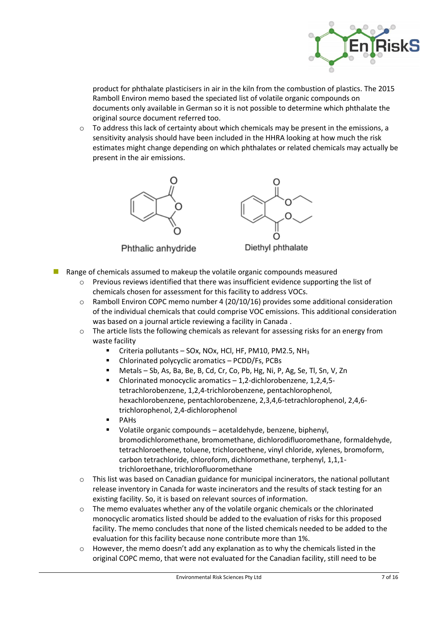

product for phthalate plasticisers in air in the kiln from the combustion of plastics. The 2015 Ramboll Environ memo based the speciated list of volatile organic compounds on documents only available in German so it is not possible to determine which phthalate the original source document referred too.

 $\circ$  To address this lack of certainty about which chemicals may be present in the emissions, a sensitivity analysis should have been included in the HHRA looking at how much the risk estimates might change depending on which phthalates or related chemicals may actually be present in the air emissions.



Phthalic anhydride



Diethyl phthalate

- Range of chemicals assumed to makeup the volatile organic compounds measured
	- o Previous reviews identified that there was insufficient evidence supporting the list of chemicals chosen for assessment for this facility to address VOCs.
	- o Ramboll Environ COPC memo number 4 (20/10/16) provides some additional consideration of the individual chemicals that could comprise VOC emissions. This additional consideration was based on a journal article reviewing a facility in Canada .
	- o The article lists the following chemicals as relevant for assessing risks for an energy from waste facility
		- Criteria pollutants SOx, NOx, HCl, HF, PM10, PM2.5, NH<sup>3</sup>
		- Chlorinated polycyclic aromatics PCDD/Fs, PCBs
		- Metals Sb, As, Ba, Be, B, Cd, Cr, Co, Pb, Hg, Ni, P, Ag, Se, Tl, Sn, V, Zn
		- Chlorinated monocyclic aromatics 1,2-dichlorobenzene, 1,2,4,5 tetrachlorobenzene, 1,2,4-trichlorobenzene, pentachlorophenol, hexachlorobenzene, pentachlorobenzene, 2,3,4,6-tetrachlorophenol, 2,4,6 trichlorophenol, 2,4-dichlorophenol
		- **PAHs**
		- Volatile organic compounds acetaldehyde, benzene, biphenyl, bromodichloromethane, bromomethane, dichlorodifluoromethane, formaldehyde, tetrachloroethene, toluene, trichloroethene, vinyl chloride, xylenes, bromoform, carbon tetrachloride, chloroform, dichloromethane, terphenyl, 1,1,1 trichloroethane, trichlorofluoromethane
	- o This list was based on Canadian guidance for municipal incinerators, the national pollutant release inventory in Canada for waste incinerators and the results of stack testing for an existing facility. So, it is based on relevant sources of information.
	- o The memo evaluates whether any of the volatile organic chemicals or the chlorinated monocyclic aromatics listed should be added to the evaluation of risks for this proposed facility. The memo concludes that none of the listed chemicals needed to be added to the evaluation for this facility because none contribute more than 1%.
	- $\circ$  However, the memo doesn't add any explanation as to why the chemicals listed in the original COPC memo, that were not evaluated for the Canadian facility, still need to be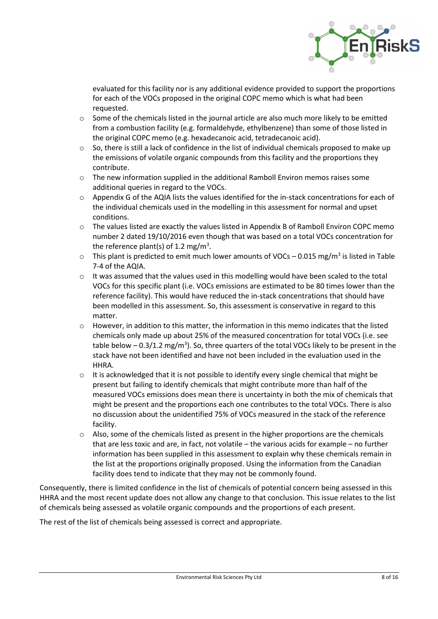

evaluated for this facility nor is any additional evidence provided to support the proportions for each of the VOCs proposed in the original COPC memo which is what had been requested.

- o Some of the chemicals listed in the journal article are also much more likely to be emitted from a combustion facility (e.g. formaldehyde, ethylbenzene) than some of those listed in the original COPC memo (e.g. hexadecanoic acid, tetradecanoic acid).
- $\circ$  So, there is still a lack of confidence in the list of individual chemicals proposed to make up the emissions of volatile organic compounds from this facility and the proportions they contribute.
- o The new information supplied in the additional Ramboll Environ memos raises some additional queries in regard to the VOCs.
- o Appendix G of the AQIA lists the values identified for the in-stack concentrations for each of the individual chemicals used in the modelling in this assessment for normal and upset conditions.
- o The values listed are exactly the values listed in Appendix B of Ramboll Environ COPC memo number 2 dated 19/10/2016 even though that was based on a total VOCs concentration for the reference plant(s) of 1.2 mg/m<sup>3</sup>.
- $\circ$  This plant is predicted to emit much lower amounts of VOCs 0.015 mg/m<sup>3</sup> is listed in Table 7-4 of the AQIA.
- $\circ$  It was assumed that the values used in this modelling would have been scaled to the total VOCs for this specific plant (i.e. VOCs emissions are estimated to be 80 times lower than the reference facility). This would have reduced the in-stack concentrations that should have been modelled in this assessment. So, this assessment is conservative in regard to this matter.
- o However, in addition to this matter, the information in this memo indicates that the listed chemicals only made up about 25% of the measured concentration for total VOCs (i.e. see table below  $-0.3/1.2$  mg/m<sup>3</sup>). So, three quarters of the total VOCs likely to be present in the stack have not been identified and have not been included in the evaluation used in the HHRA.
- $\circ$  It is acknowledged that it is not possible to identify every single chemical that might be present but failing to identify chemicals that might contribute more than half of the measured VOCs emissions does mean there is uncertainty in both the mix of chemicals that might be present and the proportions each one contributes to the total VOCs. There is also no discussion about the unidentified 75% of VOCs measured in the stack of the reference facility.
- $\circ$  Also, some of the chemicals listed as present in the higher proportions are the chemicals that are less toxic and are, in fact, not volatile – the various acids for example – no further information has been supplied in this assessment to explain why these chemicals remain in the list at the proportions originally proposed. Using the information from the Canadian facility does tend to indicate that they may not be commonly found.

Consequently, there is limited confidence in the list of chemicals of potential concern being assessed in this HHRA and the most recent update does not allow any change to that conclusion. This issue relates to the list of chemicals being assessed as volatile organic compounds and the proportions of each present.

The rest of the list of chemicals being assessed is correct and appropriate.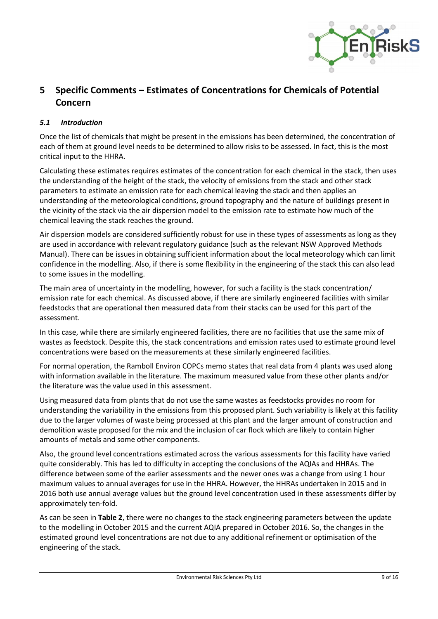

# **5 Specific Comments – Estimates of Concentrations for Chemicals of Potential Concern**

## *5.1 Introduction*

Once the list of chemicals that might be present in the emissions has been determined, the concentration of each of them at ground level needs to be determined to allow risks to be assessed. In fact, this is the most critical input to the HHRA.

Calculating these estimates requires estimates of the concentration for each chemical in the stack, then uses the understanding of the height of the stack, the velocity of emissions from the stack and other stack parameters to estimate an emission rate for each chemical leaving the stack and then applies an understanding of the meteorological conditions, ground topography and the nature of buildings present in the vicinity of the stack via the air dispersion model to the emission rate to estimate how much of the chemical leaving the stack reaches the ground.

Air dispersion models are considered sufficiently robust for use in these types of assessments as long as they are used in accordance with relevant regulatory guidance (such as the relevant NSW Approved Methods Manual). There can be issues in obtaining sufficient information about the local meteorology which can limit confidence in the modelling. Also, if there is some flexibility in the engineering of the stack this can also lead to some issues in the modelling.

The main area of uncertainty in the modelling, however, for such a facility is the stack concentration/ emission rate for each chemical. As discussed above, if there are similarly engineered facilities with similar feedstocks that are operational then measured data from their stacks can be used for this part of the assessment.

In this case, while there are similarly engineered facilities, there are no facilities that use the same mix of wastes as feedstock. Despite this, the stack concentrations and emission rates used to estimate ground level concentrations were based on the measurements at these similarly engineered facilities.

For normal operation, the Ramboll Environ COPCs memo states that real data from 4 plants was used along with information available in the literature. The maximum measured value from these other plants and/or the literature was the value used in this assessment.

Using measured data from plants that do not use the same wastes as feedstocks provides no room for understanding the variability in the emissions from this proposed plant. Such variability is likely at this facility due to the larger volumes of waste being processed at this plant and the larger amount of construction and demolition waste proposed for the mix and the inclusion of car flock which are likely to contain higher amounts of metals and some other components.

Also, the ground level concentrations estimated across the various assessments for this facility have varied quite considerably. This has led to difficulty in accepting the conclusions of the AQIAs and HHRAs. The difference between some of the earlier assessments and the newer ones was a change from using 1 hour maximum values to annual averages for use in the HHRA. However, the HHRAs undertaken in 2015 and in 2016 both use annual average values but the ground level concentration used in these assessments differ by approximately ten-fold.

As can be seen in **Table 2**, there were no changes to the stack engineering parameters between the update to the modelling in October 2015 and the current AQIA prepared in October 2016. So, the changes in the estimated ground level concentrations are not due to any additional refinement or optimisation of the engineering of the stack.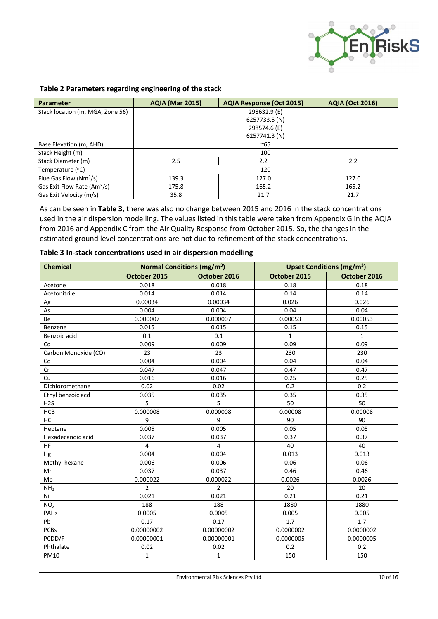

#### **Table 2 Parameters regarding engineering of the stack**

| Parameter                               | <b>AQIA (Mar 2015)</b>  | <b>AQIA Response (Oct 2015)</b> | <b>AQIA (Oct 2016)</b> |  |
|-----------------------------------------|-------------------------|---------------------------------|------------------------|--|
| Stack location (m, MGA, Zone 56)        | 298632.9 (E)            |                                 |                        |  |
|                                         |                         | 6257733.5 (N)                   |                        |  |
|                                         |                         | 298574.6 (E)                    |                        |  |
|                                         |                         | 6257741.3 (N)                   |                        |  |
| Base Elevation (m, AHD)                 | $~\sim$ 65              |                                 |                        |  |
| Stack Height (m)                        |                         | 100                             |                        |  |
| Stack Diameter (m)                      | 2.2<br>2.2<br>2.5       |                                 |                        |  |
| Temperature $(°C)$                      |                         | 120                             |                        |  |
| Flue Gas Flow (Nm <sup>3</sup> /s)      | 139.3<br>127.0<br>127.0 |                                 |                        |  |
| Gas Exit Flow Rate (Am <sup>3</sup> /s) | 175.8<br>165.2<br>165.2 |                                 |                        |  |
| Gas Exit Velocity (m/s)                 | 35.8                    | 21.7                            | 21.7                   |  |

As can be seen in **Table 3**, there was also no change between 2015 and 2016 in the stack concentrations used in the air dispersion modelling. The values listed in this table were taken from Appendix G in the AQIA from 2016 and Appendix C from the Air Quality Response from October 2015. So, the changes in the estimated ground level concentrations are not due to refinement of the stack concentrations.

| <b>Chemical</b>      | <b>Normal Conditions (mg/m<sup>3</sup>)</b> |                |              | <b>Upset Conditions (mg/m<sup>3</sup>)</b> |
|----------------------|---------------------------------------------|----------------|--------------|--------------------------------------------|
|                      | October 2015                                | October 2016   | October 2015 | October 2016                               |
| Acetone              | 0.018                                       | 0.018          | 0.18         | 0.18                                       |
| Acetonitrile         | 0.014                                       | 0.014          | 0.14         | 0.14                                       |
| Ag                   | 0.00034                                     | 0.00034        | 0.026        | 0.026                                      |
| As                   | 0.004                                       | 0.004          | 0.04         | 0.04                                       |
| Be                   | 0.000007                                    | 0.000007       | 0.00053      | 0.00053                                    |
| Benzene              | 0.015                                       | 0.015          | 0.15         | 0.15                                       |
| Benzoic acid         | 0.1                                         | 0.1            | $\mathbf{1}$ | $\mathbf{1}$                               |
| Cd                   | 0.009                                       | 0.009          | 0.09         | 0.09                                       |
| Carbon Monoxide (CO) | 23                                          | 23             | 230          | 230                                        |
| Co                   | 0.004                                       | 0.004          | 0.04         | 0.04                                       |
| Cr                   | 0.047                                       | 0.047          | 0.47         | 0.47                                       |
| Cu                   | 0.016                                       | 0.016          | 0.25         | 0.25                                       |
| Dichloromethane      | 0.02                                        | 0.02           | 0.2          | 0.2                                        |
| Ethyl benzoic acd    | 0.035                                       | 0.035          | 0.35         | 0.35                                       |
| H2S                  | 5                                           | 5              | 50           | 50                                         |
| <b>HCB</b>           | 0.000008                                    | 0.000008       | 0.00008      | 0.00008                                    |
| HCI                  | 9                                           | 9              | 90           | 90                                         |
| Heptane              | 0.005                                       | 0.005          | 0.05         | 0.05                                       |
| Hexadecanoic acid    | 0.037                                       | 0.037          | 0.37         | 0.37                                       |
| <b>HF</b>            | 4                                           | 4              | 40           | 40                                         |
| Hg                   | 0.004                                       | 0.004          | 0.013        | 0.013                                      |
| Methyl hexane        | 0.006                                       | 0.006          | 0.06         | 0.06                                       |
| Mn                   | 0.037                                       | 0.037          | 0.46         | 0.46                                       |
| Mo                   | 0.000022                                    | 0.000022       | 0.0026       | 0.0026                                     |
| NH <sub>3</sub>      | $\overline{2}$                              | $\overline{2}$ | 20           | 20                                         |
| Ni                   | 0.021                                       | 0.021          | 0.21         | 0.21                                       |
| NO <sub>x</sub>      | 188                                         | 188            | 1880         | 1880                                       |
| PAHs                 | 0.0005                                      | 0.0005         | 0.005        | 0.005                                      |
| Pb                   | 0.17                                        | 0.17           | 1.7          | 1.7                                        |
| <b>PCBs</b>          | 0.00000002                                  | 0.00000002     | 0.0000002    | 0.0000002                                  |
| PCDD/F               | 0.00000001                                  | 0.00000001     | 0.0000005    | 0.0000005                                  |
| Phthalate            | 0.02                                        | 0.02           | 0.2          | 0.2                                        |
| PM10                 | $\mathbf{1}$                                | $\mathbf{1}$   | 150          | 150                                        |

#### **Table 3 In-stack concentrations used in air dispersion modelling**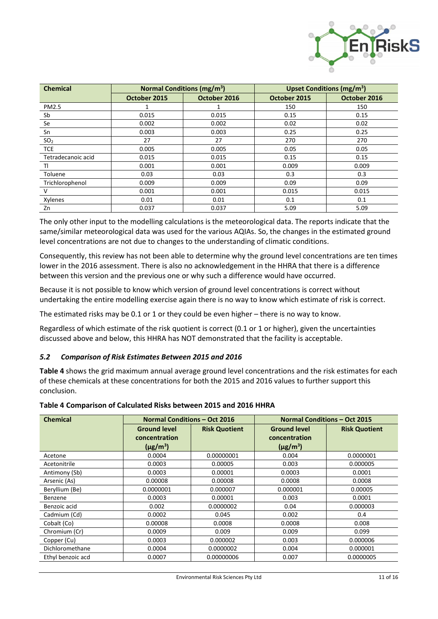

| <b>Chemical</b>    | <b>Normal Conditions (mg/m<sup>3</sup>)</b> |              | <b>Upset Conditions (mg/m<sup>3</sup>)</b> |              |
|--------------------|---------------------------------------------|--------------|--------------------------------------------|--------------|
|                    | October 2015                                | October 2016 | October 2015                               | October 2016 |
| <b>PM2.5</b>       | 1                                           |              | 150                                        | 150          |
| Sb                 | 0.015                                       | 0.015        | 0.15                                       | 0.15         |
| Se                 | 0.002                                       | 0.002        | 0.02                                       | 0.02         |
| Sn                 | 0.003                                       | 0.003        | 0.25                                       | 0.25         |
| SO <sub>2</sub>    | 27                                          | 27           | 270                                        | 270          |
| <b>TCE</b>         | 0.005                                       | 0.005        | 0.05                                       | 0.05         |
| Tetradecanoic acid | 0.015                                       | 0.015        | 0.15                                       | 0.15         |
| TI                 | 0.001                                       | 0.001        | 0.009                                      | 0.009        |
| Toluene            | 0.03                                        | 0.03         | 0.3                                        | 0.3          |
| Trichlorophenol    | 0.009                                       | 0.009        | 0.09                                       | 0.09         |
| V                  | 0.001                                       | 0.001        | 0.015                                      | 0.015        |
| Xylenes            | 0.01                                        | 0.01         | 0.1                                        | 0.1          |
| Zn                 | 0.037                                       | 0.037        | 5.09                                       | 5.09         |

The only other input to the modelling calculations is the meteorological data. The reports indicate that the same/similar meteorological data was used for the various AQIAs. So, the changes in the estimated ground level concentrations are not due to changes to the understanding of climatic conditions.

Consequently, this review has not been able to determine why the ground level concentrations are ten times lower in the 2016 assessment. There is also no acknowledgement in the HHRA that there is a difference between this version and the previous one or why such a difference would have occurred.

Because it is not possible to know which version of ground level concentrations is correct without undertaking the entire modelling exercise again there is no way to know which estimate of risk is correct.

The estimated risks may be 0.1 or 1 or they could be even higher – there is no way to know.

Regardless of which estimate of the risk quotient is correct (0.1 or 1 or higher), given the uncertainties discussed above and below, this HHRA has NOT demonstrated that the facility is acceptable.

#### *5.2 Comparison of Risk Estimates Between 2015 and 2016*

**Table 4** shows the grid maximum annual average ground level concentrations and the risk estimates for each of these chemicals at these concentrations for both the 2015 and 2016 values to further support this conclusion.

| Table 4 Comparison of Calculated Risks between 2015 and 2016 HHRA |  |  |  |
|-------------------------------------------------------------------|--|--|--|
|-------------------------------------------------------------------|--|--|--|

| <b>Chemical</b>   | <b>Normal Conditions - Oct 2016</b> |                      | <b>Normal Conditions - Oct 2015</b> |                      |
|-------------------|-------------------------------------|----------------------|-------------------------------------|----------------------|
|                   | <b>Ground level</b>                 | <b>Risk Quotient</b> | <b>Ground level</b>                 | <b>Risk Quotient</b> |
|                   | concentration                       |                      | concentration                       |                      |
|                   | $(\mu$ g/m <sup>3</sup> )           |                      | $(\mu$ g/m <sup>3</sup> )           |                      |
| Acetone           | 0.0004                              | 0.00000001           | 0.004                               | 0.0000001            |
| Acetonitrile      | 0.0003                              | 0.00005              | 0.003                               | 0.000005             |
| Antimony (Sb)     | 0.0003                              | 0.00001              | 0.0003                              | 0.0001               |
| Arsenic (As)      | 0.00008                             | 0.00008              | 0.0008                              | 0.0008               |
| Beryllium (Be)    | 0.0000001                           | 0.000007             | 0.000001                            | 0.00005              |
| Benzene           | 0.0003                              | 0.00001              | 0.003                               | 0.0001               |
| Benzoic acid      | 0.002                               | 0.0000002            | 0.04                                | 0.000003             |
| Cadmium (Cd)      | 0.0002                              | 0.045                | 0.002                               | 0.4                  |
| Cobalt (Co)       | 0.00008                             | 0.0008               | 0.0008                              | 0.008                |
| Chromium (Cr)     | 0.0009                              | 0.009                | 0.009                               | 0.099                |
| Copper (Cu)       | 0.0003                              | 0.000002             | 0.003                               | 0.000006             |
| Dichloromethane   | 0.0004                              | 0.0000002            | 0.004                               | 0.000001             |
| Ethyl benzoic acd | 0.0007                              | 0.00000006           | 0.007                               | 0.0000005            |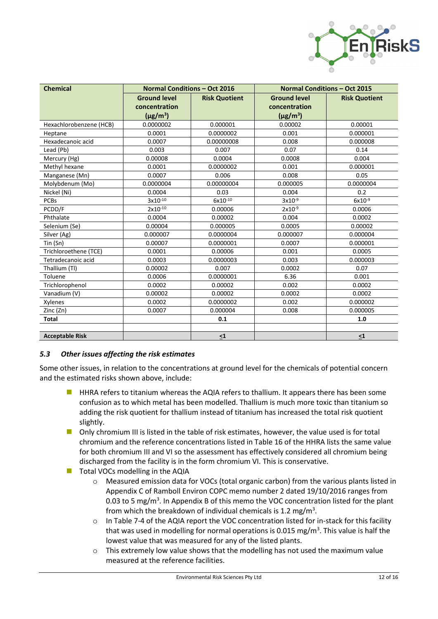

| <b>Chemical</b>         | <b>Normal Conditions - Oct 2016</b> |                      |                     | <b>Normal Conditions - Oct 2015</b> |
|-------------------------|-------------------------------------|----------------------|---------------------|-------------------------------------|
|                         | <b>Ground level</b>                 | <b>Risk Quotient</b> | <b>Ground level</b> | <b>Risk Quotient</b>                |
|                         | concentration                       |                      | concentration       |                                     |
|                         | $(\mu g/m^3)$                       |                      | $(\mu g/m^3)$       |                                     |
| Hexachlorobenzene (HCB) | 0.0000002                           | 0.000001             | 0.00002             | 0.00001                             |
| Heptane                 | 0.0001                              | 0.0000002            | 0.001               | 0.000001                            |
| Hexadecanoic acid       | 0.0007                              | 0.00000008           | 0.008               | 0.000008                            |
| Lead (Pb)               | 0.003                               | 0.007                | 0.07                | 0.14                                |
| Mercury (Hg)            | 0.00008                             | 0.0004               | 0.0008              | 0.004                               |
| Methyl hexane           | 0.0001                              | 0.0000002            | 0.001               | 0.000001                            |
| Manganese (Mn)          | 0.0007                              | 0.006                | 0.008               | 0.05                                |
| Molybdenum (Mo)         | 0.0000004                           | 0.00000004           | 0.000005            | 0.0000004                           |
| Nickel (Ni)             | 0.0004                              | 0.03                 | 0.004               | 0.2                                 |
| <b>PCBs</b>             | $3x10^{-10}$                        | 6x10-10              | $3x10^{-9}$         | $6x10^{-9}$                         |
| PCDD/F                  | 2x10-10                             | 0.00006              | $2x10^{-9}$         | 0.0006                              |
| Phthalate               | 0.0004                              | 0.00002              | 0.004               | 0.0002                              |
| Selenium (Se)           | 0.00004                             | 0.000005             | 0.0005              | 0.00002                             |
| Silver (Ag)             | 0.000007                            | 0.0000004            | 0.000007            | 0.000004                            |
| Tin (Sn)                | 0.00007                             | 0.0000001            | 0.0007              | 0.000001                            |
| Trichloroethene (TCE)   | 0.0001                              | 0.00006              | 0.001               | 0.0005                              |
| Tetradecanoic acid      | 0.0003                              | 0.0000003            | 0.003               | 0.000003                            |
| Thallium (Tl)           | 0.00002                             | 0.007                | 0.0002              | 0.07                                |
| Toluene                 | 0.0006                              | 0.0000001            | 6.36                | 0.001                               |
| Trichlorophenol         | 0.0002                              | 0.00002              | 0.002               | 0.0002                              |
| Vanadium (V)            | 0.00002                             | 0.00002              | 0.0002              | 0.0002                              |
| Xylenes                 | 0.0002                              | 0.0000002            | 0.002               | 0.000002                            |
| Zinc (Zn)               | 0.0007                              | 0.000004             | 0.008               | 0.000005                            |
| <b>Total</b>            |                                     | 0.1                  |                     | 1.0                                 |
|                         |                                     |                      |                     |                                     |
| <b>Acceptable Risk</b>  |                                     | $\leq1$              |                     | $\leq1$                             |

## *5.3 Other issues affecting the risk estimates*

Some other issues, in relation to the concentrations at ground level for the chemicals of potential concern and the estimated risks shown above, include:

- HHRA refers to titanium whereas the AQIA refers to thallium. It appears there has been some confusion as to which metal has been modelled. Thallium is much more toxic than titanium so adding the risk quotient for thallium instead of titanium has increased the total risk quotient slightly.
- Only chromium III is listed in the table of risk estimates, however, the value used is for total chromium and the reference concentrations listed in Table 16 of the HHRA lists the same value for both chromium III and VI so the assessment has effectively considered all chromium being discharged from the facility is in the form chromium VI. This is conservative.
- $\blacksquare$  Total VOCs modelling in the AQIA
	- o Measured emission data for VOCs (total organic carbon) from the various plants listed in Appendix C of Ramboll Environ COPC memo number 2 dated 19/10/2016 ranges from 0.03 to 5 mg/ $m<sup>3</sup>$ . In Appendix B of this memo the VOC concentration listed for the plant from which the breakdown of individual chemicals is 1.2 mg/m<sup>3</sup>.
	- o In Table 7-4 of the AQIA report the VOC concentration listed for in-stack for this facility that was used in modelling for normal operations is 0.015 mg/m<sup>3</sup>. This value is half the lowest value that was measured for any of the listed plants.
	- $\circ$  This extremely low value shows that the modelling has not used the maximum value measured at the reference facilities.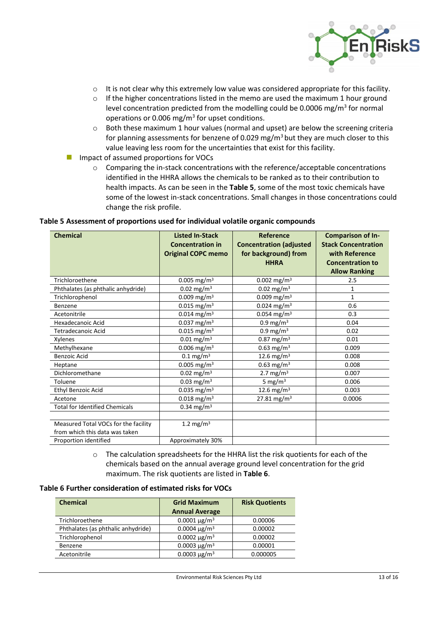

- $\circ$  It is not clear why this extremely low value was considered appropriate for this facility.
- $\circ$  If the higher concentrations listed in the memo are used the maximum 1 hour ground level concentration predicted from the modelling could be 0.0006 mg/m<sup>3</sup> for normal operations or 0.006 mg/ $m<sup>3</sup>$  for upset conditions.
- $\circ$  Both these maximum 1 hour values (normal and upset) are below the screening criteria for planning assessments for benzene of 0.029 mg/m<sup>3</sup> but they are much closer to this value leaving less room for the uncertainties that exist for this facility.
- Impact of assumed proportions for VOCs
	- o Comparing the in-stack concentrations with the reference/acceptable concentrations identified in the HHRA allows the chemicals to be ranked as to their contribution to health impacts. As can be seen in the **Table 5**, some of the most toxic chemicals have some of the lowest in-stack concentrations. Small changes in those concentrations could change the risk profile.

| <b>Chemical</b>                                                        | <b>Listed In-Stack</b><br><b>Concentration in</b><br><b>Original COPC memo</b> | Reference<br><b>Concentration (adjusted</b><br>for background) from<br><b>HHRA</b> | <b>Comparison of In-</b><br><b>Stack Concentration</b><br>with Reference<br><b>Concentration to</b><br><b>Allow Ranking</b> |
|------------------------------------------------------------------------|--------------------------------------------------------------------------------|------------------------------------------------------------------------------------|-----------------------------------------------------------------------------------------------------------------------------|
| Trichloroethene                                                        | $0.005$ mg/m <sup>3</sup>                                                      | $0.002$ mg/m <sup>3</sup>                                                          | 2.5                                                                                                                         |
| Phthalates (as phthalic anhydride)                                     | 0.02 mg/m <sup>3</sup>                                                         | $0.02$ mg/m <sup>3</sup>                                                           | $\mathbf{1}$                                                                                                                |
| Trichlorophenol                                                        | 0.009 mg/m <sup>3</sup>                                                        | 0.009 mg/m <sup>3</sup>                                                            | 1                                                                                                                           |
| Benzene                                                                | $0.015$ mg/m <sup>3</sup>                                                      | $0.024$ mg/m <sup>3</sup>                                                          | 0.6                                                                                                                         |
| Acetonitrile                                                           | $0.014$ mg/m <sup>3</sup>                                                      | $0.054$ mg/m <sup>3</sup>                                                          | 0.3                                                                                                                         |
| Hexadecanoic Acid                                                      | 0.037 mg/m <sup>3</sup>                                                        | 0.9 mg/m $3$                                                                       | 0.04                                                                                                                        |
| Tetradecanoic Acid                                                     | $0.015$ mg/m <sup>3</sup>                                                      | 0.9 mg/m $3$                                                                       | 0.02                                                                                                                        |
| Xylenes                                                                | $0.01$ mg/m <sup>3</sup>                                                       | $0.87$ mg/m <sup>3</sup>                                                           | 0.01                                                                                                                        |
| Methylhexane                                                           | $0.006$ mg/m <sup>3</sup>                                                      | $0.63$ mg/m <sup>3</sup>                                                           | 0.009                                                                                                                       |
| <b>Benzoic Acid</b>                                                    | $0.1 \,\mathrm{mg/m^3}$                                                        | 12.6 mg/m <sup>3</sup>                                                             | 0.008                                                                                                                       |
| Heptane                                                                | $0.005$ mg/m <sup>3</sup>                                                      | $0.63$ mg/m <sup>3</sup>                                                           | 0.008                                                                                                                       |
| Dichloromethane                                                        | $0.02$ mg/m <sup>3</sup>                                                       | 2.7 mg/m $3$                                                                       | 0.007                                                                                                                       |
| Toluene                                                                | 0.03 mg/m <sup>3</sup>                                                         | 5 mg/m $3$                                                                         | 0.006                                                                                                                       |
| <b>Ethyl Benzoic Acid</b>                                              | 0.035 mg/m <sup>3</sup>                                                        | 12.6 mg/m <sup>3</sup>                                                             | 0.003                                                                                                                       |
| Acetone                                                                | $0.018$ mg/m <sup>3</sup>                                                      | 27.81 mg/m <sup>3</sup>                                                            | 0.0006                                                                                                                      |
| <b>Total for Identified Chemicals</b>                                  | 0.34 mg/m <sup>3</sup>                                                         |                                                                                    |                                                                                                                             |
| Measured Total VOCs for the facility<br>from which this data was taken | 1.2 mg/m <sup>3</sup>                                                          |                                                                                    |                                                                                                                             |
| Proportion identified                                                  | Approximately 30%                                                              |                                                                                    |                                                                                                                             |

#### **Table 5 Assessment of proportions used for individual volatile organic compounds**

o The calculation spreadsheets for the HHRA list the risk quotients for each of the chemicals based on the annual average ground level concentration for the grid maximum. The risk quotients are listed in **Table 6**.

#### **Table 6 Further consideration of estimated risks for VOCs**

| <b>Chemical</b>                    | <b>Grid Maximum</b>             | <b>Risk Quotients</b> |
|------------------------------------|---------------------------------|-----------------------|
|                                    | <b>Annual Average</b>           |                       |
| Trichloroethene                    | $0.0001 \,\mathrm{\upmu g/m^3}$ | 0.00006               |
| Phthalates (as phthalic anhydride) | 0.0004 $\mu$ g/m <sup>3</sup>   | 0.00002               |
| Trichlorophenol                    | 0.0002 $\mu$ g/m <sup>3</sup>   | 0.00002               |
| Benzene                            | 0.0003 $\mu$ g/m <sup>3</sup>   | 0.00001               |
| Acetonitrile                       | 0.0003 $\mu$ g/m <sup>3</sup>   | 0.000005              |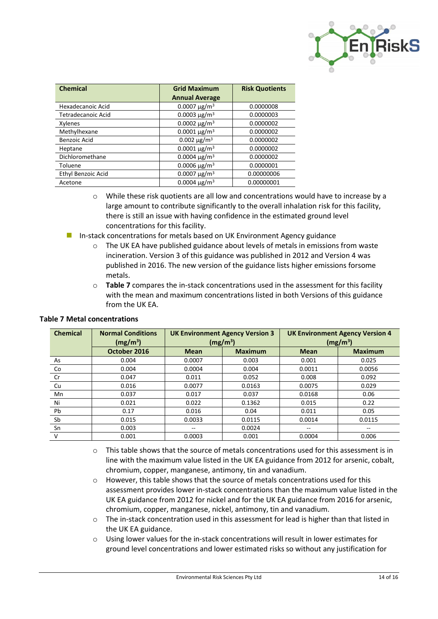

| <b>Chemical</b>           | <b>Grid Maximum</b>             | <b>Risk Quotients</b> |
|---------------------------|---------------------------------|-----------------------|
|                           | <b>Annual Average</b>           |                       |
| Hexadecanoic Acid         | $0.0007 \,\mathrm{\upmu g/m^3}$ | 0.0000008             |
| <b>Tetradecanoic Acid</b> | 0.0003 $\mu$ g/m <sup>3</sup>   | 0.0000003             |
| Xylenes                   | 0.0002 $\mu$ g/m <sup>3</sup>   | 0.0000002             |
| Methylhexane              | $0.0001 \,\mathrm{\upmu g/m^3}$ | 0.0000002             |
| Benzoic Acid              | 0.002 $\mu$ g/m <sup>3</sup>    | 0.0000002             |
| Heptane                   | $0.0001 \,\mathrm{\upmu g/m^3}$ | 0.0000002             |
| Dichloromethane           | 0.0004 $\mu$ g/m <sup>3</sup>   | 0.0000002             |
| Toluene                   | 0.0006 $\mu$ g/m <sup>3</sup>   | 0.0000001             |
| Ethyl Benzoic Acid        | 0.0007 $\mu$ g/m <sup>3</sup>   | 0.00000006            |
| Acetone                   | 0.0004 $\mu$ g/m <sup>3</sup>   | 0.00000001            |

- o While these risk quotients are all low and concentrations would have to increase by a large amount to contribute significantly to the overall inhalation risk for this facility, there is still an issue with having confidence in the estimated ground level concentrations for this facility.
- **In-stack concentrations for metals based on UK Environment Agency guidance** 
	- $\circ$  The UK EA have published guidance about levels of metals in emissions from waste incineration. Version 3 of this guidance was published in 2012 and Version 4 was published in 2016. The new version of the guidance lists higher emissions forsome metals.
	- o **Table 7** compares the in-stack concentrations used in the assessment for this facility with the mean and maximum concentrations listed in both Versions of this guidance from the UK EA.

| <b>Chemical</b> | <b>Normal Conditions</b><br>(mg/m <sup>3</sup> ) | <b>UK Environment Agency Version 3</b><br>(mg/m <sup>3</sup> ) |                | <b>UK Environment Agency Version 4</b><br>(mg/m <sup>3</sup> ) |                |  |
|-----------------|--------------------------------------------------|----------------------------------------------------------------|----------------|----------------------------------------------------------------|----------------|--|
|                 | October 2016                                     | <b>Mean</b>                                                    | <b>Maximum</b> | <b>Mean</b>                                                    | <b>Maximum</b> |  |
| As              | 0.004                                            | 0.0007                                                         | 0.003          | 0.001                                                          | 0.025          |  |
| Co              | 0.004                                            | 0.0004                                                         | 0.004          | 0.0011                                                         | 0.0056         |  |
| Cr              | 0.047                                            | 0.011                                                          | 0.052          | 0.008                                                          | 0.092          |  |
| Cu              | 0.016                                            | 0.0077                                                         | 0.0163         | 0.0075                                                         | 0.029          |  |
| Mn              | 0.037                                            | 0.017                                                          | 0.037          | 0.0168                                                         | 0.06           |  |
| Ni              | 0.021                                            | 0.022                                                          | 0.1362         | 0.015                                                          | 0.22           |  |
| Pb              | 0.17                                             | 0.016                                                          | 0.04           | 0.011                                                          | 0.05           |  |
| Sb              | 0.015                                            | 0.0033                                                         | 0.0115         | 0.0014                                                         | 0.0115         |  |
| Sn              | 0.003                                            | --                                                             | 0.0024         | --                                                             |                |  |
| V               | 0.001                                            | 0.0003                                                         | 0.001          | 0.0004                                                         | 0.006          |  |

## **Table 7 Metal concentrations**

- $\circ$  This table shows that the source of metals concentrations used for this assessment is in line with the maximum value listed in the UK EA guidance from 2012 for arsenic, cobalt, chromium, copper, manganese, antimony, tin and vanadium.
- $\circ$  However, this table shows that the source of metals concentrations used for this assessment provides lower in-stack concentrations than the maximum value listed in the UK EA guidance from 2012 for nickel and for the UK EA guidance from 2016 for arsenic, chromium, copper, manganese, nickel, antimony, tin and vanadium.
- $\circ$  The in-stack concentration used in this assessment for lead is higher than that listed in the UK EA guidance.
- o Using lower values for the in-stack concentrations will result in lower estimates for ground level concentrations and lower estimated risks so without any justification for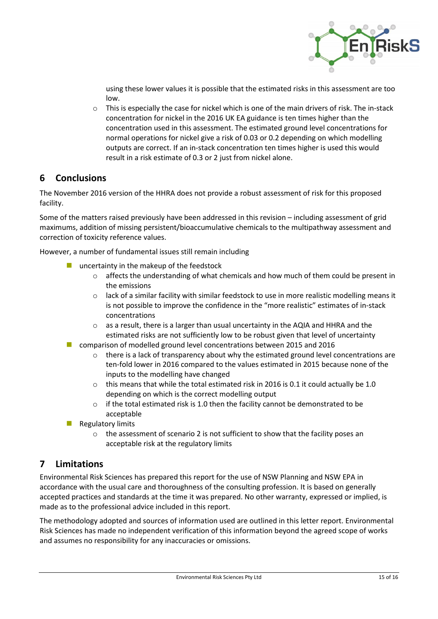

using these lower values it is possible that the estimated risks in this assessment are too low.

 $\circ$  This is especially the case for nickel which is one of the main drivers of risk. The in-stack concentration for nickel in the 2016 UK EA guidance is ten times higher than the concentration used in this assessment. The estimated ground level concentrations for normal operations for nickel give a risk of 0.03 or 0.2 depending on which modelling outputs are correct. If an in-stack concentration ten times higher is used this would result in a risk estimate of 0.3 or 2 just from nickel alone.

## **6 Conclusions**

The November 2016 version of the HHRA does not provide a robust assessment of risk for this proposed facility.

Some of the matters raised previously have been addressed in this revision – including assessment of grid maximums, addition of missing persistent/bioaccumulative chemicals to the multipathway assessment and correction of toxicity reference values.

However, a number of fundamental issues still remain including

- uncertainty in the makeup of the feedstock
	- o affects the understanding of what chemicals and how much of them could be present in the emissions
	- o lack of a similar facility with similar feedstock to use in more realistic modelling means it is not possible to improve the confidence in the "more realistic" estimates of in-stack concentrations
	- o as a result, there is a larger than usual uncertainty in the AQIA and HHRA and the estimated risks are not sufficiently low to be robust given that level of uncertainty
- comparison of modelled ground level concentrations between 2015 and 2016
	- $\circ$  there is a lack of transparency about why the estimated ground level concentrations are ten-fold lower in 2016 compared to the values estimated in 2015 because none of the inputs to the modelling have changed
	- $\circ$  this means that while the total estimated risk in 2016 is 0.1 it could actually be 1.0 depending on which is the correct modelling output
	- $\circ$  if the total estimated risk is 1.0 then the facility cannot be demonstrated to be acceptable
- Regulatory limits
	- $\circ$  the assessment of scenario 2 is not sufficient to show that the facility poses an acceptable risk at the regulatory limits

# **7 Limitations**

Environmental Risk Sciences has prepared this report for the use of NSW Planning and NSW EPA in accordance with the usual care and thoroughness of the consulting profession. It is based on generally accepted practices and standards at the time it was prepared. No other warranty, expressed or implied, is made as to the professional advice included in this report.

The methodology adopted and sources of information used are outlined in this letter report. Environmental Risk Sciences has made no independent verification of this information beyond the agreed scope of works and assumes no responsibility for any inaccuracies or omissions.